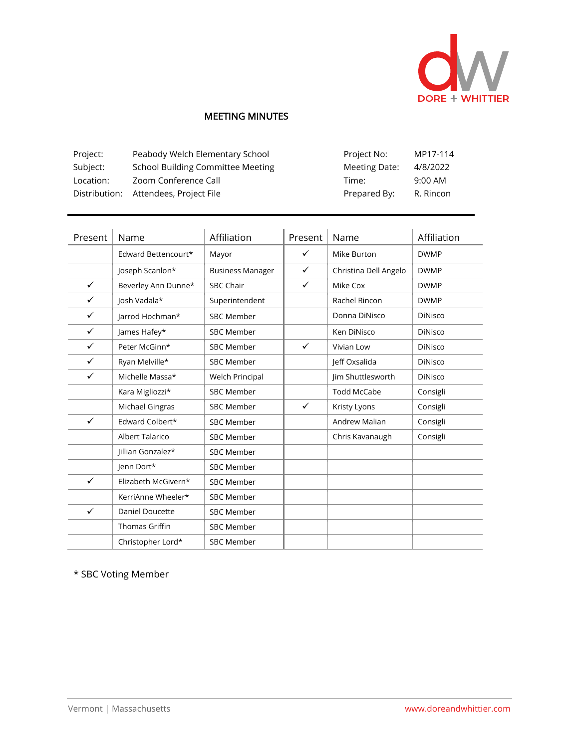

## MEETING MINUTES

| Project:  | Peabody Welch Elementary School          | Project No:   | MP17-114  |
|-----------|------------------------------------------|---------------|-----------|
| Subject:  | <b>School Building Committee Meeting</b> | Meeting Date: | 4/8/2022  |
| Location: | Zoom Conference Call                     | Time:         | $9:00$ AM |
|           | Distribution: Attendees, Project File    | Prepared By:  | R. Rincon |

| Present      | Name                   | Affiliation             | Present      | Name                  | Affiliation    |
|--------------|------------------------|-------------------------|--------------|-----------------------|----------------|
|              | Edward Bettencourt*    | Mayor                   | ✓            | Mike Burton           | <b>DWMP</b>    |
|              | Joseph Scanlon*        | <b>Business Manager</b> | $\checkmark$ | Christina Dell Angelo | <b>DWMP</b>    |
| ✓            | Beverley Ann Dunne*    | <b>SBC Chair</b>        | ✓            | Mike Cox              | <b>DWMP</b>    |
| $\checkmark$ | Josh Vadala*           | Superintendent          |              | Rachel Rincon         | <b>DWMP</b>    |
| ✓            | Jarrod Hochman*        | <b>SBC Member</b>       |              | Donna DiNisco         | <b>DiNisco</b> |
| ✓            | James Hafey*           | <b>SBC Member</b>       |              | Ken DiNisco           | DiNisco        |
| $\checkmark$ | Peter McGinn*          | <b>SBC Member</b>       | $\checkmark$ | Vivian Low            | <b>DiNisco</b> |
| $\checkmark$ | Ryan Melville*         | <b>SBC Member</b>       |              | Jeff Oxsalida         | <b>DiNisco</b> |
| ✓            | Michelle Massa*        | Welch Principal         |              | Jim Shuttlesworth     | <b>DiNisco</b> |
|              | Kara Migliozzi*        | <b>SBC Member</b>       |              | <b>Todd McCabe</b>    | Consigli       |
|              | Michael Gingras        | <b>SBC Member</b>       | $\checkmark$ | Kristy Lyons          | Consigli       |
| ✓            | Edward Colbert*        | <b>SBC Member</b>       |              | Andrew Malian         | Consigli       |
|              | Albert Talarico        | <b>SBC Member</b>       |              | Chris Kavanaugh       | Consigli       |
|              | Jillian Gonzalez*      | <b>SBC Member</b>       |              |                       |                |
|              | Jenn Dort*             | <b>SBC Member</b>       |              |                       |                |
| ✓            | Elizabeth McGivern*    | <b>SBC Member</b>       |              |                       |                |
|              | KerriAnne Wheeler*     | <b>SBC Member</b>       |              |                       |                |
| $\checkmark$ | <b>Daniel Doucette</b> | <b>SBC Member</b>       |              |                       |                |
|              | <b>Thomas Griffin</b>  | <b>SBC Member</b>       |              |                       |                |
|              | Christopher Lord*      | <b>SBC Member</b>       |              |                       |                |

\* SBC Voting Member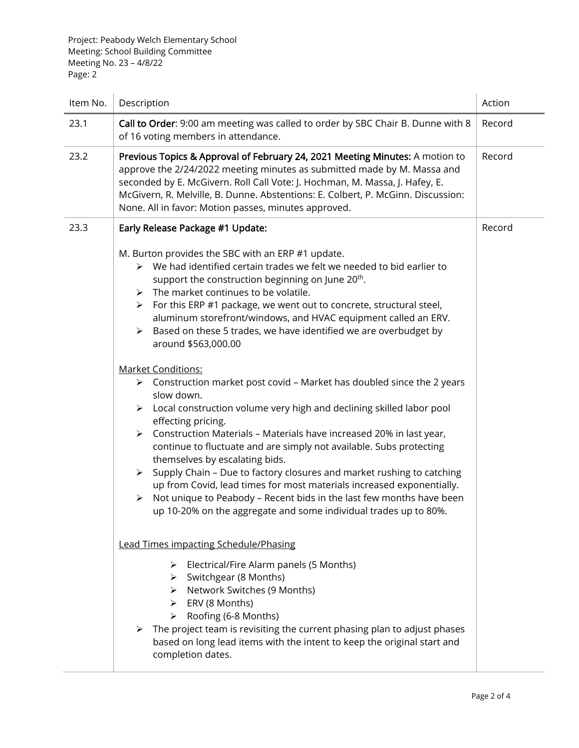| Item No. | Description                                                                                                                                                                                                                                                                                                                                                                                                                                                                                                                                                                                                                                                                                                                                                                                                                                                                                                                                                                                                                                                                                                                                                                                                                                                                                         | Action |
|----------|-----------------------------------------------------------------------------------------------------------------------------------------------------------------------------------------------------------------------------------------------------------------------------------------------------------------------------------------------------------------------------------------------------------------------------------------------------------------------------------------------------------------------------------------------------------------------------------------------------------------------------------------------------------------------------------------------------------------------------------------------------------------------------------------------------------------------------------------------------------------------------------------------------------------------------------------------------------------------------------------------------------------------------------------------------------------------------------------------------------------------------------------------------------------------------------------------------------------------------------------------------------------------------------------------------|--------|
| 23.1     | Call to Order: 9:00 am meeting was called to order by SBC Chair B. Dunne with 8<br>of 16 voting members in attendance.                                                                                                                                                                                                                                                                                                                                                                                                                                                                                                                                                                                                                                                                                                                                                                                                                                                                                                                                                                                                                                                                                                                                                                              | Record |
| 23.2     | Previous Topics & Approval of February 24, 2021 Meeting Minutes: A motion to<br>approve the 2/24/2022 meeting minutes as submitted made by M. Massa and<br>seconded by E. McGivern. Roll Call Vote: J. Hochman, M. Massa, J. Hafey, E.<br>McGivern, R. Melville, B. Dunne. Abstentions: E. Colbert, P. McGinn. Discussion:<br>None. All in favor: Motion passes, minutes approved.                                                                                                                                                                                                                                                                                                                                                                                                                                                                                                                                                                                                                                                                                                                                                                                                                                                                                                                  |        |
| 23.3     | Early Release Package #1 Update:                                                                                                                                                                                                                                                                                                                                                                                                                                                                                                                                                                                                                                                                                                                                                                                                                                                                                                                                                                                                                                                                                                                                                                                                                                                                    | Record |
|          | M. Burton provides the SBC with an ERP #1 update.<br>$\triangleright$ We had identified certain trades we felt we needed to bid earlier to<br>support the construction beginning on June 20 <sup>th</sup> .<br>The market continues to be volatile.<br>≻<br>For this ERP #1 package, we went out to concrete, structural steel,<br>➤<br>aluminum storefront/windows, and HVAC equipment called an ERV.<br>$\triangleright$ Based on these 5 trades, we have identified we are overbudget by<br>around \$563,000.00<br><b>Market Conditions:</b><br>$\triangleright$ Construction market post covid - Market has doubled since the 2 years<br>slow down.<br>$\triangleright$ Local construction volume very high and declining skilled labor pool<br>effecting pricing.<br>$\triangleright$ Construction Materials - Materials have increased 20% in last year,<br>continue to fluctuate and are simply not available. Subs protecting<br>themselves by escalating bids.<br>Supply Chain - Due to factory closures and market rushing to catching<br>≻<br>up from Covid, lead times for most materials increased exponentially.<br>Not unique to Peabody - Recent bids in the last few months have been<br>$\blacktriangleright$<br>up 10-20% on the aggregate and some individual trades up to 80%. |        |
|          | <b>Lead Times impacting Schedule/Phasing</b><br>$\triangleright$ Electrical/Fire Alarm panels (5 Months)                                                                                                                                                                                                                                                                                                                                                                                                                                                                                                                                                                                                                                                                                                                                                                                                                                                                                                                                                                                                                                                                                                                                                                                            |        |
|          | > Switchgear (8 Months)<br>> Network Switches (9 Months)<br>$\triangleright$ ERV (8 Months)<br>$\triangleright$ Roofing (6-8 Months)<br>$\triangleright$ The project team is revisiting the current phasing plan to adjust phases<br>based on long lead items with the intent to keep the original start and<br>completion dates.                                                                                                                                                                                                                                                                                                                                                                                                                                                                                                                                                                                                                                                                                                                                                                                                                                                                                                                                                                   |        |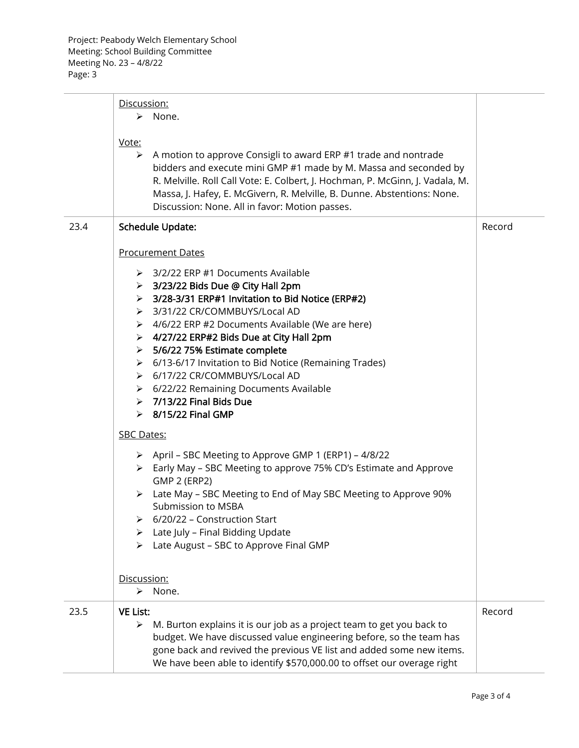|      | Discussion:<br>None.<br>➤<br>Vote:<br>$\triangleright$ A motion to approve Consigli to award ERP #1 trade and nontrade<br>bidders and execute mini GMP #1 made by M. Massa and seconded by<br>R. Melville. Roll Call Vote: E. Colbert, J. Hochman, P. McGinn, J. Vadala, M.<br>Massa, J. Hafey, E. McGivern, R. Melville, B. Dunne. Abstentions: None.<br>Discussion: None. All in favor: Motion passes.                                                                                                                                                                                                                                                                                                                                                                                                                                                                                                                                                                                                  |        |
|------|-----------------------------------------------------------------------------------------------------------------------------------------------------------------------------------------------------------------------------------------------------------------------------------------------------------------------------------------------------------------------------------------------------------------------------------------------------------------------------------------------------------------------------------------------------------------------------------------------------------------------------------------------------------------------------------------------------------------------------------------------------------------------------------------------------------------------------------------------------------------------------------------------------------------------------------------------------------------------------------------------------------|--------|
| 23.4 | <b>Schedule Update:</b><br><b>Procurement Dates</b><br>> 3/2/22 ERP #1 Documents Available<br>$\triangleright$ 3/23/22 Bids Due @ City Hall 2pm<br>> 3/28-3/31 ERP#1 Invitation to Bid Notice (ERP#2)<br>> 3/31/22 CR/COMMBUYS/Local AD<br>▶ 4/6/22 ERP #2 Documents Available (We are here)<br>> 4/27/22 ERP#2 Bids Due at City Hall 2pm<br>> 5/6/22 75% Estimate complete<br>> 6/13-6/17 Invitation to Bid Notice (Remaining Trades)<br>> 6/17/22 CR/COMMBUYS/Local AD<br>> 6/22/22 Remaining Documents Available<br>$> 7/13/22$ Final Bids Due<br>$\triangleright$ 8/15/22 Final GMP<br><b>SBC Dates:</b><br>> April - SBC Meeting to Approve GMP 1 (ERP1) - 4/8/22<br>Early May - SBC Meeting to approve 75% CD's Estimate and Approve<br><b>GMP 2 (ERP2)</b><br>> Late May - SBC Meeting to End of May SBC Meeting to Approve 90%<br>Submission to MSBA<br>6/20/22 - Construction Start<br>Late July - Final Bidding Update<br>Late August - SBC to Approve Final GMP<br>≻<br>Discussion:<br>> None. | Record |
| 23.5 | <b>VE List:</b><br>M. Burton explains it is our job as a project team to get you back to<br>➤<br>budget. We have discussed value engineering before, so the team has<br>gone back and revived the previous VE list and added some new items.<br>We have been able to identify \$570,000.00 to offset our overage right                                                                                                                                                                                                                                                                                                                                                                                                                                                                                                                                                                                                                                                                                    | Record |